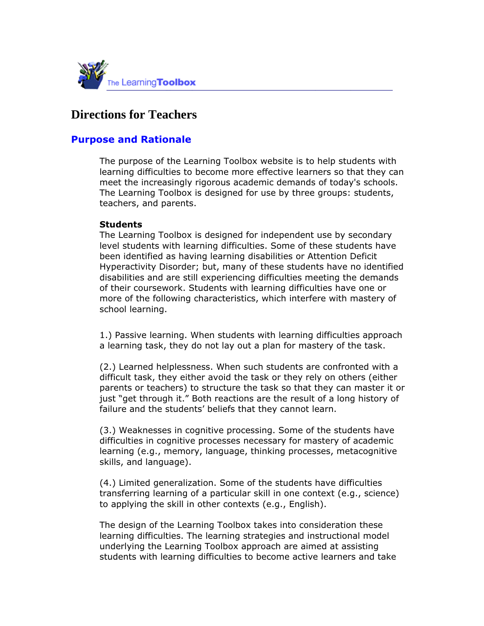

# **Directions for Teachers**

# **Purpose and Rationale**

The purpose of the Learning Toolbox website is to help students with learning difficulties to become more effective learners so that they can meet the increasingly rigorous academic demands of today's schools. The Learning Toolbox is designed for use by three groups: students, teachers, and parents.

#### **Students**

The Learning Toolbox is designed for independent use by secondary level students with learning difficulties. Some of these students have been identified as having learning disabilities or Attention Deficit Hyperactivity Disorder; but, many of these students have no identified disabilities and are still experiencing difficulties meeting the demands of their coursework. Students with learning difficulties have one or more of the following characteristics, which interfere with mastery of school learning.

1.) Passive learning. When students with learning difficulties approach a learning task, they do not lay out a plan for mastery of the task.

(2.) Learned helplessness. When such students are confronted with a difficult task, they either avoid the task or they rely on others (either parents or teachers) to structure the task so that they can master it or just "get through it." Both reactions are the result of a long history of failure and the students' beliefs that they cannot learn.

(3.) Weaknesses in cognitive processing. Some of the students have difficulties in cognitive processes necessary for mastery of academic learning (e.g., memory, language, thinking processes, metacognitive skills, and language).

(4.) Limited generalization. Some of the students have difficulties transferring learning of a particular skill in one context (e.g., science) to applying the skill in other contexts (e.g., English).

The design of the Learning Toolbox takes into consideration these learning difficulties. The learning strategies and instructional model underlying the Learning Toolbox approach are aimed at assisting students with learning difficulties to become active learners and take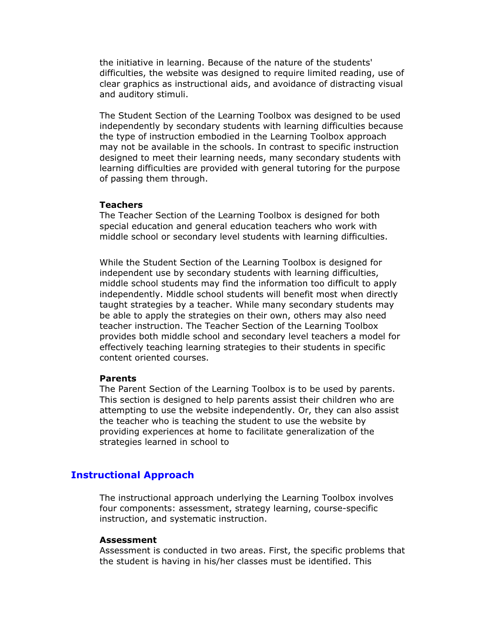the initiative in learning. Because of the nature of the students' difficulties, the website was designed to require limited reading, use of clear graphics as instructional aids, and avoidance of distracting visual and auditory stimuli.

The Student Section of the Learning Toolbox was designed to be used independently by secondary students with learning difficulties because the type of instruction embodied in the Learning Toolbox approach may not be available in the schools. In contrast to specific instruction designed to meet their learning needs, many secondary students with learning difficulties are provided with general tutoring for the purpose of passing them through.

#### **Teachers**

The Teacher Section of the Learning Toolbox is designed for both special education and general education teachers who work with middle school or secondary level students with learning difficulties.

While the Student Section of the Learning Toolbox is designed for independent use by secondary students with learning difficulties, middle school students may find the information too difficult to apply independently. Middle school students will benefit most when directly taught strategies by a teacher. While many secondary students may be able to apply the strategies on their own, others may also need teacher instruction. The Teacher Section of the Learning Toolbox provides both middle school and secondary level teachers a model for effectively teaching learning strategies to their students in specific content oriented courses.

#### **Parents**

The Parent Section of the Learning Toolbox is to be used by parents. This section is designed to help parents assist their children who are attempting to use the website independently. Or, they can also assist the teacher who is teaching the student to use the website by providing experiences at home to facilitate generalization of the strategies learned in school to

### **Instructional Approach**

The instructional approach underlying the Learning Toolbox involves four components: assessment, strategy learning, course-specific instruction, and systematic instruction.

#### **Assessment**

Assessment is conducted in two areas. First, the specific problems that the student is having in his/her classes must be identified. This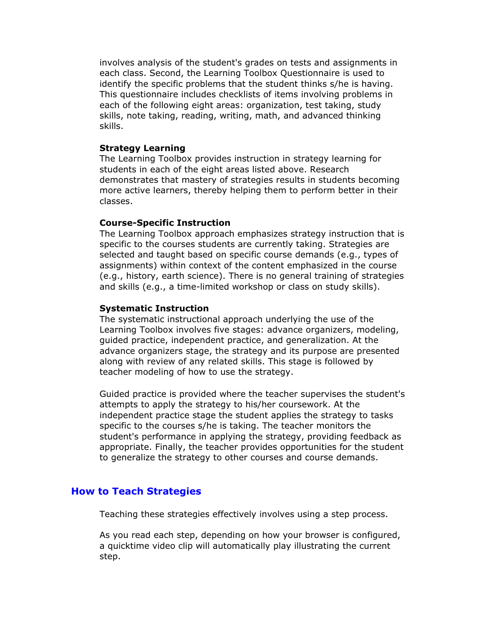involves analysis of the student's grades on tests and assignments in each class. Second, the Learning Toolbox Questionnaire is used to identify the specific problems that the student thinks s/he is having. This questionnaire includes checklists of items involving problems in each of the following eight areas: organization, test taking, study skills, note taking, reading, writing, math, and advanced thinking skills.

#### **Strategy Learning**

The Learning Toolbox provides instruction in strategy learning for students in each of the eight areas listed above. Research demonstrates that mastery of strategies results in students becoming more active learners, thereby helping them to perform better in their classes.

#### **Course-Specific Instruction**

The Learning Toolbox approach emphasizes strategy instruction that is specific to the courses students are currently taking. Strategies are selected and taught based on specific course demands (e.g., types of assignments) within context of the content emphasized in the course (e.g., history, earth science). There is no general training of strategies and skills (e.g., a time-limited workshop or class on study skills).

#### **Systematic Instruction**

The systematic instructional approach underlying the use of the Learning Toolbox involves five stages: advance organizers, modeling, guided practice, independent practice, and generalization. At the advance organizers stage, the strategy and its purpose are presented along with review of any related skills. This stage is followed by teacher modeling of how to use the strategy.

Guided practice is provided where the teacher supervises the student's attempts to apply the strategy to his/her coursework. At the independent practice stage the student applies the strategy to tasks specific to the courses s/he is taking. The teacher monitors the student's performance in applying the strategy, providing feedback as appropriate. Finally, the teacher provides opportunities for the student to generalize the strategy to other courses and course demands.

#### **How to Teach Strategies**

Teaching these strategies effectively involves using a step process.

As you read each step, depending on how your browser is configured, a quicktime video clip will automatically play illustrating the current step.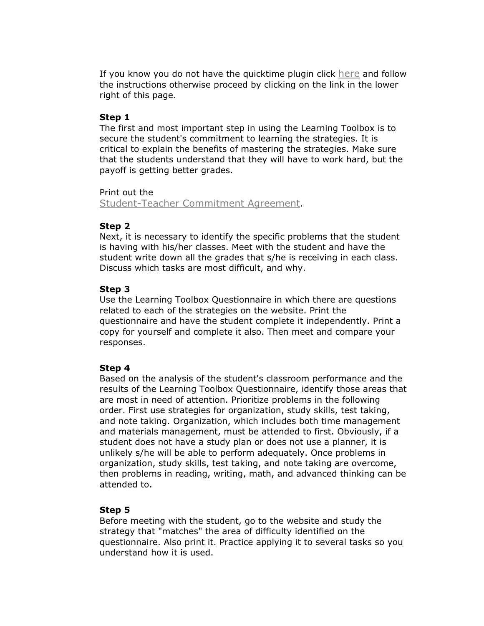If you know you do not have the quicktime plugin click here and follow the instructions otherwise proceed by clicking on the link in the lower right of this page.

### **Step 1**

The first and most important step in using the Learning Toolbox is to secure the student's commitment to learning the strategies. It is critical to explain the benefits of mastering the strategies. Make sure that the students understand that they will have to work hard, but the payoff is getting better grades.

#### Print out the

Student-Teacher Commitment Agreement.

### **Step 2**

Next, it is necessary to identify the specific problems that the student is having with his/her classes. Meet with the student and have the student write down all the grades that s/he is receiving in each class. Discuss which tasks are most difficult, and why.

### **Step 3**

Use the Learning Toolbox Questionnaire in which there are questions related to each of the strategies on the website. Print the questionnaire and have the student complete it independently. Print a copy for yourself and complete it also. Then meet and compare your responses.

#### **Step 4**

Based on the analysis of the student's classroom performance and the results of the Learning Toolbox Questionnaire, identify those areas that are most in need of attention. Prioritize problems in the following order. First use strategies for organization, study skills, test taking, and note taking. Organization, which includes both time management and materials management, must be attended to first. Obviously, if a student does not have a study plan or does not use a planner, it is unlikely s/he will be able to perform adequately. Once problems in organization, study skills, test taking, and note taking are overcome, then problems in reading, writing, math, and advanced thinking can be attended to.

# **Step 5**

Before meeting with the student, go to the website and study the strategy that "matches" the area of difficulty identified on the questionnaire. Also print it. Practice applying it to several tasks so you understand how it is used.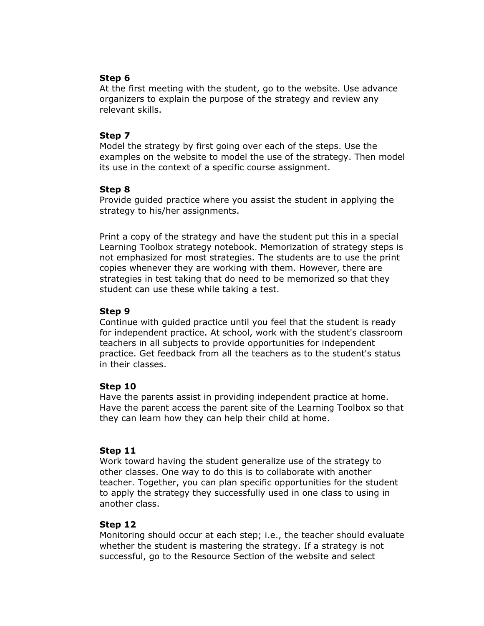# **Step 6**

At the first meeting with the student, go to the website. Use advance organizers to explain the purpose of the strategy and review any relevant skills.

### **Step 7**

Model the strategy by first going over each of the steps. Use the examples on the website to model the use of the strategy. Then model its use in the context of a specific course assignment.

### **Step 8**

Provide guided practice where you assist the student in applying the strategy to his/her assignments.

Print a copy of the strategy and have the student put this in a special Learning Toolbox strategy notebook. Memorization of strategy steps is not emphasized for most strategies. The students are to use the print copies whenever they are working with them. However, there are strategies in test taking that do need to be memorized so that they student can use these while taking a test.

### **Step 9**

Continue with guided practice until you feel that the student is ready for independent practice. At school, work with the student's classroom teachers in all subjects to provide opportunities for independent practice. Get feedback from all the teachers as to the student's status in their classes.

# **Step 10**

Have the parents assist in providing independent practice at home. Have the parent access the parent site of the Learning Toolbox so that they can learn how they can help their child at home.

# **Step 11**

Work toward having the student generalize use of the strategy to other classes. One way to do this is to collaborate with another teacher. Together, you can plan specific opportunities for the student to apply the strategy they successfully used in one class to using in another class.

# **Step 12**

Monitoring should occur at each step; i.e., the teacher should evaluate whether the student is mastering the strategy. If a strategy is not successful, go to the Resource Section of the website and select